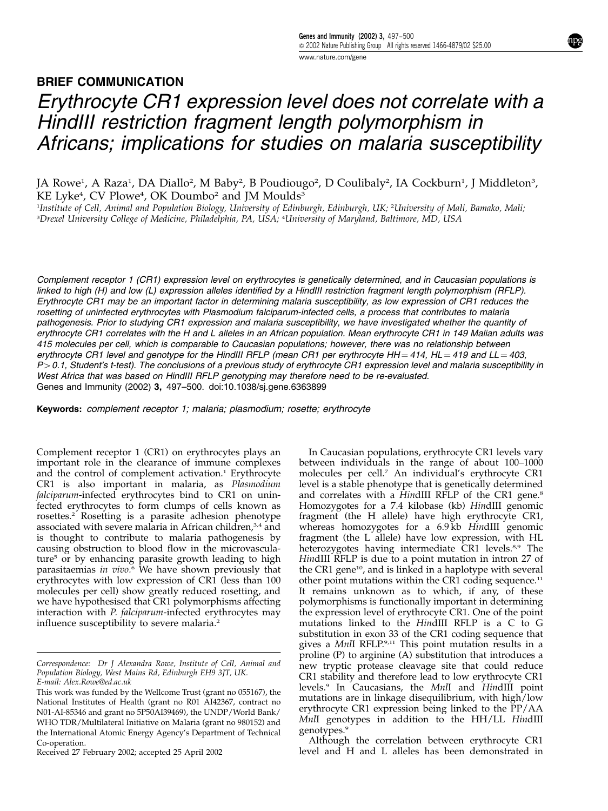## BRIEF COMMUNICATION Erythrocyte CR1 expression level does not correlate with a HindIII restriction fragment length polymorphism in Africans; implications for studies on malaria susceptibility

JA Rowe<sup>1</sup>, A Raza<sup>1</sup>, DA Diallo<sup>2</sup>, M Baby<sup>2</sup>, B Poudiougo<sup>2</sup>, D Coulibaly<sup>2</sup>, IA Cockburn<sup>1</sup>, J Middleton<sup>3</sup>, KE Lyke<sup>4</sup>, CV Plowe<sup>4</sup>, OK Doumbo<sup>2</sup> and JM Moulds<sup>3</sup>

1 Institute of Cell, Animal and Population Biology, University of Edinburgh, Edinburgh, UK; <sup>2</sup> University of Mali, Bamako, Mali; 3 Drexel University College of Medicine, Philadelphia, PA, USA; <sup>4</sup> University of Maryland, Baltimore, MD, USA

Complement receptor 1 (CR1) expression level on erythrocytes is genetically determined, and in Caucasian populations is linked to high (H) and low (L) expression alleles identified by a HindIII restriction fragment length polymorphism (RFLP). Erythrocyte CR1 may be an important factor in determining malaria susceptibility, as low expression of CR1 reduces the rosetting of uninfected erythrocytes with Plasmodium falciparum-infected cells, a process that contributes to malaria pathogenesis. Prior to studying CR1 expression and malaria susceptibility, we have investigated whether the quantity of erythrocyte CR1 correlates with the H and L alleles in an African population. Mean erythrocyte CR1 in 149 Malian adults was 415 molecules per cell, which is comparable to Caucasian populations; however, there was no relationship between erythrocyte CR1 level and genotype for the HindIII RFLP (mean CR1 per erythrocyte HH = 414, HL = 419 and LL = 403,  $P > 0.1$ , Student's t-test). The conclusions of a previous study of erythrocyte CR1 expression level and malaria susceptibility in West Africa that was based on HindIII RFLP genotyping may therefore need to be re-evaluated. Genes and Immunity (2002) 3, 497–500. doi:10.1038/sj.gene.6363899

Keywords: complement receptor 1; malaria; plasmodium; rosette; erythrocyte

Complement receptor 1 (CR1) on erythrocytes plays an important role in the clearance of immune complexes and the control of complement activation.<sup>1</sup> Erythrocyte CR1 is also important in malaria, as Plasmodium falciparum-infected erythrocytes bind to CR1 on uninfected erythrocytes to form clumps of cells known as rosettes.<sup>2</sup> Rosetting is a parasite adhesion phenotype associated with severe malaria in African children,<sup>3,4</sup> and is thought to contribute to malaria pathogenesis by causing obstruction to blood flow in the microvasculature<sup>5</sup> or by enhancing parasite growth leading to high parasitaemias in  $vivo.6$  We have shown previously that erythrocytes with low expression of CR1 (less than 100 molecules per cell) show greatly reduced rosetting, and we have hypothesised that CR1 polymorphisms affecting interaction with P. falciparum-infected erythrocytes may influence susceptibility to severe malaria.<sup>2</sup>

Received 27 February 2002; accepted 25 April 2002

In Caucasian populations, erythrocyte CR1 levels vary between individuals in the range of about 100–1000 molecules per cell.<sup>7</sup> An individual's erythrocyte CR1 level is a stable phenotype that is genetically determined and correlates with a HindIII RFLP of the CR1 gene.<sup>8</sup> Homozygotes for a 7.4 kilobase (kb) HindIII genomic fragment (the H allele) have high erythrocyte CR1, whereas homozygotes for a 6.9 kb HindIII genomic fragment (the L allele) have low expression, with HL heterozygotes having intermediate CR1 levels.<sup>8,9</sup> The HindIII RFLP is due to a point mutation in intron 27 of the CR1 gene<sup>10</sup>, and is linked in a haplotype with several other point mutations within the CR1 coding sequence.<sup>11</sup> It remains unknown as to which, if any, of these polymorphisms is functionally important in determining the expression level of erythrocyte CR1. One of the point mutations linked to the HindIII RFLP is a C to G substitution in exon 33 of the CR1 coding sequence that gives a MnlI RFLP.9,11 This point mutation results in a proline (P) to arginine (A) substitution that introduces a new tryptic protease cleavage site that could reduce CR1 stability and therefore lead to low erythrocyte CR1 levels.<sup>9</sup> In Caucasians, the MnlI and HindIII point mutations are in linkage disequilibrium, with high/low erythrocyte CR1 expression being linked to the PP/AA MnlI genotypes in addition to the HH/LL HindIII genotypes.<sup>9</sup>

Although the correlation between erythrocyte CR1 level and H and L alleles has been demonstrated in

Correspondence: Dr J Alexandra Rowe, Institute of Cell, Animal and Population Biology, West Mains Rd, Edinburgh EH9 3JT, UK.

E-mail: Alex.Rowe@ed.ac.uk

This work was funded by the Wellcome Trust (grant no 055167), the National Institutes of Health (grant no R01 AI42367, contract no N01-AI-85346 and grant no 5P50AI39469), the UNDP/World Bank/ WHO TDR/Multilateral Initiative on Malaria (grant no 980152) and the International Atomic Energy Agency's Department of Technical Co-operation.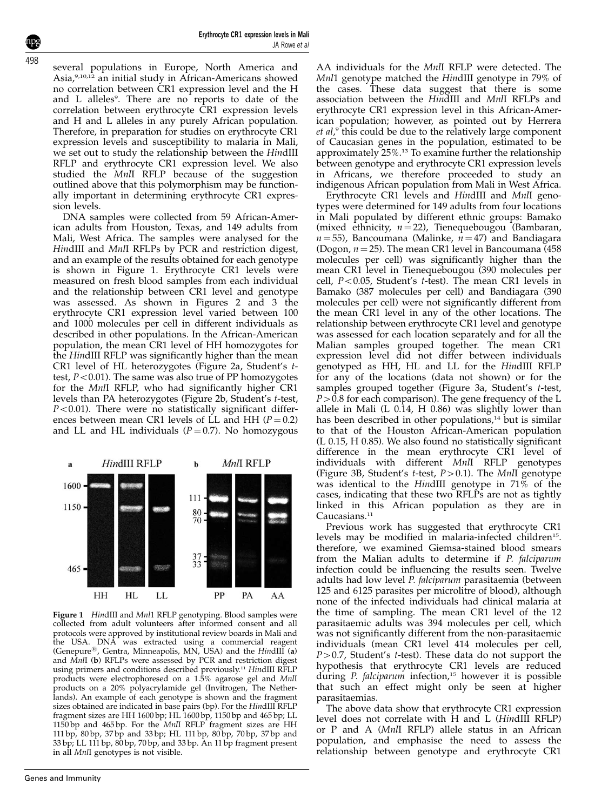several populations in Europe, North America and Asia,9,10,12 an initial study in African-Americans showed no correlation between CR1 expression level and the H and L alleles<sup>9</sup>. There are no reports to date of the correlation between erythrocyte CR1 expression levels and H and L alleles in any purely African population. Therefore, in preparation for studies on erythrocyte CR1 expression levels and susceptibility to malaria in Mali, we set out to study the relationship between the HindIII RFLP and erythrocyte CR1 expression level. We also studied the MnlI RFLP because of the suggestion outlined above that this polymorphism may be functionally important in determining erythrocyte CR1 expression levels.

DNA samples were collected from 59 African-American adults from Houston, Texas, and 149 adults from Mali, West Africa. The samples were analysed for the HindIII and MnlI RFLPs by PCR and restriction digest, and an example of the results obtained for each genotype is shown in Figure 1. Erythrocyte CR1 levels were measured on fresh blood samples from each individual and the relationship between CR1 level and genotype was assessed. As shown in Figures 2 and 3 the erythrocyte CR1 expression level varied between 100 and 1000 molecules per cell in different individuals as described in other populations. In the African-American population, the mean CR1 level of HH homozygotes for the HindIII RFLP was significantly higher than the mean CR1 level of HL heterozygotes (Figure 2a, Student's ttest,  $P < 0.01$ ). The same was also true of PP homozygotes for the MnlI RFLP, who had significantly higher CR1 levels than PA heterozygotes (Figure 2b, Student's t-test,  $P<0.01$ ). There were no statistically significant differences between mean CR1 levels of LL and HH ( $P = 0.2$ ) and LL and HL individuals  $(P = 0.7)$ . No homozygous



Figure 1 HindIII and Mnl1 RFLP genotyping. Blood samples were collected from adult volunteers after informed consent and all protocols were approved by institutional review boards in Mali and the USA. DNA was extracted using a commercial reagent (Genepure<sup>®</sup>, Gentra, Minneapolis, MN, USA) and the HindIII (a) and MnlI (b) RFLPs were assessed by PCR and restriction digest using primers and conditions described previously.<sup>11</sup> HindIII RFLP products were electrophoresed on a 1.5% agarose gel and MnlI products on a 20% polyacrylamide gel (Invitrogen, The Netherlands). An example of each genotype is shown and the fragment sizes obtained are indicated in base pairs (bp). For the HindIII RFLP fragment sizes are HH 1600 bp; HL 1600 bp, 1150 bp and 465 bp; LL 1150 bp and 465 bp. For the MnlI RFLP fragment sizes are HH 111 bp, 80 bp, 37 bp and 33 bp; HL 111 bp, 80 bp, 70 bp, 37 bp and 33 bp; LL 111 bp, 80 bp, 70 bp, and 33 bp. An 11 bp fragment present in all MnlI genotypes is not visible.

AA individuals for the MnlI RFLP were detected. The Mnl1 genotype matched the HindIII genotype in 79% of the cases. These data suggest that there is some association between the HindIII and MnlI RFLPs and erythrocyte CR1 expression level in this African-American population; however, as pointed out by Herrera et al,<sup>9</sup> this could be due to the relatively large component of Caucasian genes in the population, estimated to be approximately 25%.13 To examine further the relationship between genotype and erythrocyte CR1 expression levels in Africans, we therefore proceeded to study an indigenous African population from Mali in West Africa.

Erythrocyte CR1 levels and HindIII and MnlI genotypes were determined for 149 adults from four locations in Mali populated by different ethnic groups: Bamako (mixed ethnicity,  $n = 22$ ), Tienequebougou (Bambaran,  $n = 55$ ), Bancoumana (Malinke,  $n = 47$ ) and Bandiagara (Dogon,  $n = 25$ ). The mean CR1 level in Bancoumana (458) molecules per cell) was significantly higher than the mean CR1 level in Tienequebougou (390 molecules per cell,  $P < 0.05$ , Student's t-test). The mean CR1 levels in Bamako (387 molecules per cell) and Bandiagara (390 molecules per cell) were not significantly different from the mean CR1 level in any of the other locations. The relationship between erythrocyte CR1 level and genotype was assessed for each location separately and for all the Malian samples grouped together. The mean CR1 expression level did not differ between individuals genotyped as HH, HL and LL for the HindIII RFLP for any of the locations (data not shown) or for the samples grouped together (Figure 3a, Student's t-test,  $P > 0.8$  for each comparison). The gene frequency of the L allele in Mali (L 0.14, H 0.86) was slightly lower than has been described in other populations,<sup>14</sup> but is similar to that of the Houston African-American population (L 0.15, H 0.85). We also found no statistically significant difference in the mean erythrocyte CR1 level of individuals with different MnlI RFLP genotypes (Figure 3B, Student's t-test,  $P > 0.1$ ). The MnlI genotype was identical to the HindIII genotype in  $71\%$  of the cases, indicating that these two RFLPs are not as tightly linked in this African population as they are in Caucasians.<sup>11</sup>

Previous work has suggested that erythrocyte CR1 levels may be modified in malaria-infected children<sup>15</sup>. therefore, we examined Giemsa-stained blood smears from the Malian adults to determine if P. falciparum infection could be influencing the results seen. Twelve adults had low level P. falciparum parasitaemia (between 125 and 6125 parasites per microlitre of blood), although none of the infected individuals had clinical malaria at the time of sampling. The mean CR1 level of the 12 parasitaemic adults was 394 molecules per cell, which was not significantly different from the non-parasitaemic individuals (mean CR1 level 414 molecules per cell,  $P > 0.7$ , Student's t-test). These data do not support the hypothesis that erythrocyte CR1 levels are reduced during P. falciparum infection,<sup>15</sup> however it is possible that such an effect might only be seen at higher parasitaemias.

The above data show that erythrocyte CR1 expression level does not correlate with H and L (HindIII RFLP) or P and A (MnlI RFLP) allele status in an African population, and emphasise the need to assess the relationship between genotype and erythrocyte CR1

498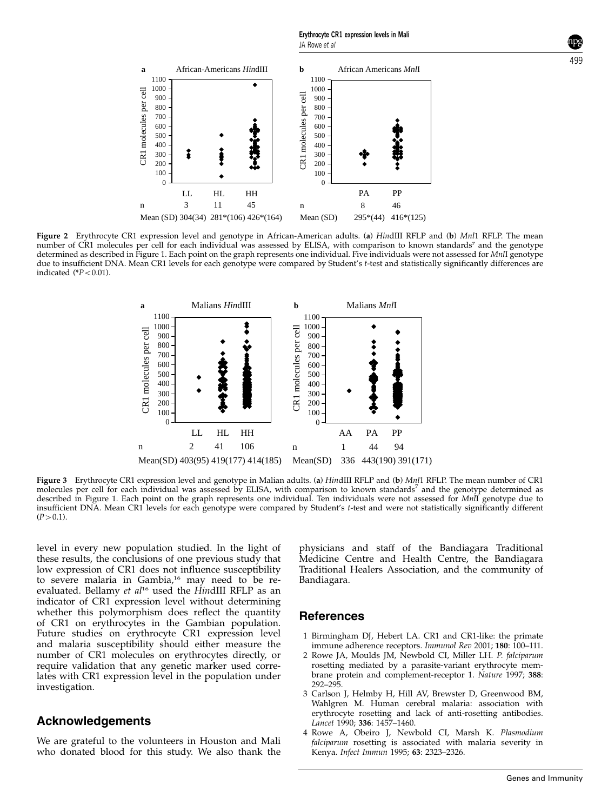499



Figure 2 Erythrocyte CR1 expression level and genotype in African-American adults. (a) HindIII RFLP and (b) Mnl1 RFLP. The mean number of CR1 molecules per cell for each individual was assessed by ELISA, with comparison to known standards<sup>7</sup> and the genotype determined as described in Figure 1. Each point on the graph represents one individual. Five individuals were not assessed for MnII genotype due to insufficient DNA. Mean CR1 levels for each genotype were compared by Student's t-test and statistically significantly differences are indicated  $(*P<0.01)$ .



Figure 3 Erythrocyte CR1 expression level and genotype in Malian adults. (a) HindIII RFLP and (b) Mnl1 RFLP. The mean number of CR1 molecules per cell for each individual was assessed by ELISA, with comparison to known standards<sup>7</sup> and the genotype determined as described in Figure 1. Each point on the graph represents one individual. Ten individuals were not assessed for MnlI genotype due to insufficient DNA. Mean CR1 levels for each genotype were compared by Student's t-test and were not statistically significantly different  $(P > 0.1)$ .

level in every new population studied. In the light of these results, the conclusions of one previous study that low expression of CR1 does not influence susceptibility to severe malaria in Gambia,<sup>16</sup> may need to be reevaluated. Bellamy et  $al^{16}$  used the HindIII RFLP as an indicator of CR1 expression level without determining whether this polymorphism does reflect the quantity of CR1 on erythrocytes in the Gambian population. Future studies on erythrocyte CR1 expression level and malaria susceptibility should either measure the number of CR1 molecules on erythrocytes directly, or require validation that any genetic marker used correlates with CR1 expression level in the population under investigation.

## Acknowledgements

We are grateful to the volunteers in Houston and Mali who donated blood for this study. We also thank the

physicians and staff of the Bandiagara Traditional Medicine Centre and Health Centre, the Bandiagara Traditional Healers Association, and the community of Bandiagara.

## References

- 1 Birmingham DJ, Hebert LA. CR1 and CR1-like: the primate immune adherence receptors. Immunol Rev 2001; 180: 100–111.
- 2 Rowe JA, Moulds JM, Newbold CI, Miller LH. P. falciparum rosetting mediated by a parasite-variant erythrocyte membrane protein and complement-receptor 1. Nature 1997; 388: 292–295.
- 3 Carlson J, Helmby H, Hill AV, Brewster D, Greenwood BM, Wahlgren M. Human cerebral malaria: association with erythrocyte rosetting and lack of anti-rosetting antibodies. Lancet 1990; 336: 1457–1460.
- 4 Rowe A, Obeiro J, Newbold CI, Marsh K, Plasmodium falciparum rosetting is associated with malaria severity in Kenya. Infect Immun 1995; 63: 2323–2326.